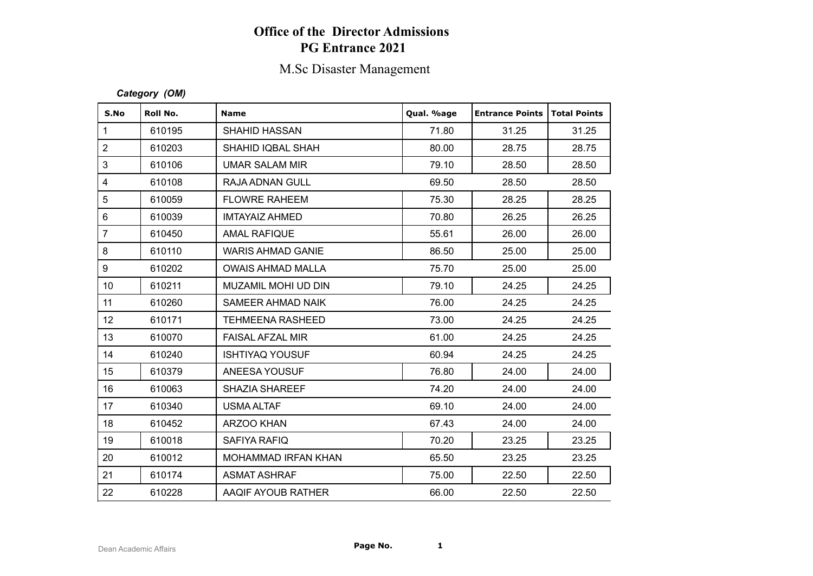# **Office of the Director Admissions PG Entrance 2021**

# M.Sc Disaster Management

#### *Category (OM)*

| S.No             | Roll No. | <b>Name</b>                | Qual. %age | <b>Entrance Points</b> | <b>Total Points</b> |
|------------------|----------|----------------------------|------------|------------------------|---------------------|
| $\mathbf{1}$     | 610195   | <b>SHAHID HASSAN</b>       | 71.80      | 31.25                  | 31.25               |
| $\overline{2}$   | 610203   | SHAHID IQBAL SHAH          | 80.00      | 28.75                  | 28.75               |
| 3                | 610106   | <b>UMAR SALAM MIR</b>      | 79.10      | 28.50                  | 28.50               |
| $\overline{4}$   | 610108   | RAJA ADNAN GULL            | 69.50      | 28.50                  | 28.50               |
| $\sqrt{5}$       | 610059   | <b>FLOWRE RAHEEM</b>       | 75.30      | 28.25                  | 28.25               |
| $\,6\,$          | 610039   | <b>IMTAYAIZ AHMED</b>      | 70.80      | 26.25                  | 26.25               |
| $\overline{7}$   | 610450   | <b>AMAL RAFIQUE</b>        | 55.61      | 26.00                  | 26.00               |
| $\bf 8$          | 610110   | <b>WARIS AHMAD GANIE</b>   | 86.50      | 25.00                  | 25.00               |
| $\boldsymbol{9}$ | 610202   | <b>OWAIS AHMAD MALLA</b>   | 75.70      | 25.00                  | 25.00               |
| 10               | 610211   | MUZAMIL MOHI UD DIN        | 79.10      | 24.25                  | 24.25               |
| 11               | 610260   | SAMEER AHMAD NAIK          | 76.00      | 24.25                  | 24.25               |
| 12               | 610171   | <b>TEHMEENA RASHEED</b>    | 73.00      | 24.25                  | 24.25               |
| 13               | 610070   | <b>FAISAL AFZAL MIR</b>    | 61.00      | 24.25                  | 24.25               |
| 14               | 610240   | <b>ISHTIYAQ YOUSUF</b>     | 60.94      | 24.25                  | 24.25               |
| 15               | 610379   | ANEESA YOUSUF              | 76.80      | 24.00                  | 24.00               |
| 16               | 610063   | <b>SHAZIA SHAREEF</b>      | 74.20      | 24.00                  | 24.00               |
| 17               | 610340   | <b>USMA ALTAF</b>          | 69.10      | 24.00                  | 24.00               |
| 18               | 610452   | ARZOO KHAN                 | 67.43      | 24.00                  | 24.00               |
| 19               | 610018   | SAFIYA RAFIQ               | 70.20      | 23.25                  | 23.25               |
| 20               | 610012   | <b>MOHAMMAD IRFAN KHAN</b> | 65.50      | 23.25                  | 23.25               |
| 21               | 610174   | <b>ASMAT ASHRAF</b>        | 75.00      | 22.50                  | 22.50               |
| 22               | 610228   | AAQIF AYOUB RATHER         | 66.00      | 22.50                  | 22.50               |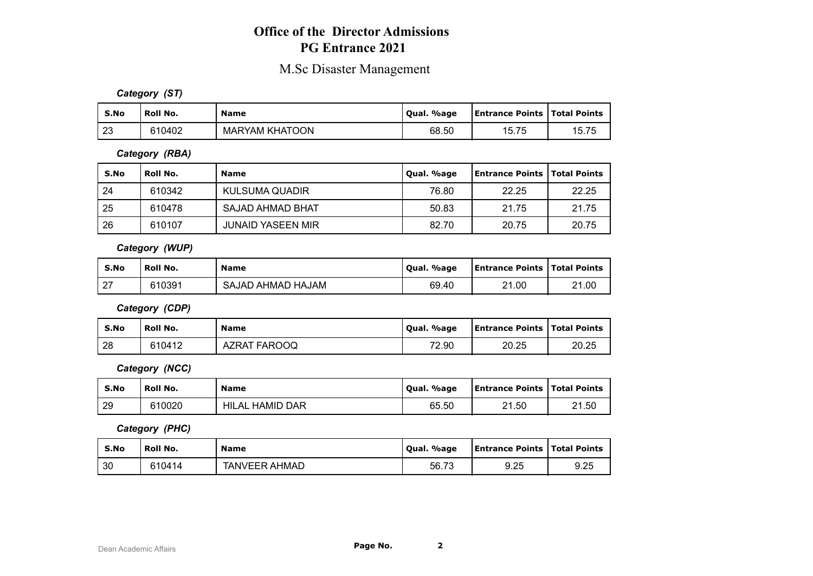# **Office of the Director Admissions PG Entrance 2021**

# M.Sc Disaster Management

*Category (ST)*

| S.No | Roll No. | Name                  | %age<br>Oual. | <b>Entrance Points   Total Points</b> |       |
|------|----------|-----------------------|---------------|---------------------------------------|-------|
| 23   | 610402   | <b>MARYAM KHATOON</b> | 68.50         | 15.75                                 | 15.75 |

*Category (RBA)*

| S.No | Roll No. | <b>Name</b>              | Qual. %age | <b>Entrance Points   Total Points</b> |       |
|------|----------|--------------------------|------------|---------------------------------------|-------|
| 24   | 610342   | KULSUMA QUADIR           | 76.80      | 22.25                                 | 22.25 |
| 25   | 610478   | SAJAD AHMAD BHAT         | 50.83      | 21.75                                 | 21.75 |
| 26   | 610107   | <b>JUNAID YASEEN MIR</b> | 82.70      | 20.75                                 | 20.75 |

*Category (WUP)*

| S.No             | <b>Roll No.</b> | <b>Name</b>       | Qual. %age | <b>Entrance Points   Total Points</b> |       |
|------------------|-----------------|-------------------|------------|---------------------------------------|-------|
| ົາ<br>$\epsilon$ | 610391          | SAJAD AHMAD HAJAM | 69.40      | 21.00                                 | 21.00 |

*Category (CDP)*

| S.No | ' Roll No. | <b>Name</b>            | Qual. %age | <b>Entrance Points   Total Points</b> |       |
|------|------------|------------------------|------------|---------------------------------------|-------|
| 28   | 610412     | FAROOQ<br><b>AZRAT</b> | 72.90      | 20.25                                 | 20.25 |

*Category (NCC)*

| S.No | Roll No. | <b>Name</b>            | Oual. %age | <b>Entrance Points   Total Points</b> |       |
|------|----------|------------------------|------------|---------------------------------------|-------|
| 29   | 610020   | <b>HILAL HAMID DAR</b> | 65.50      | 21.50                                 | 21.50 |

*Category (PHC)*

| S.No | Roll No. | <b>Name</b>          | . %age<br>' Oual. | <b>Entrance Points   Total Points</b> |      |
|------|----------|----------------------|-------------------|---------------------------------------|------|
| 30   | 610414   | <b>TANVEER AHMAD</b> | 56.73             | 9.25                                  | 9.25 |